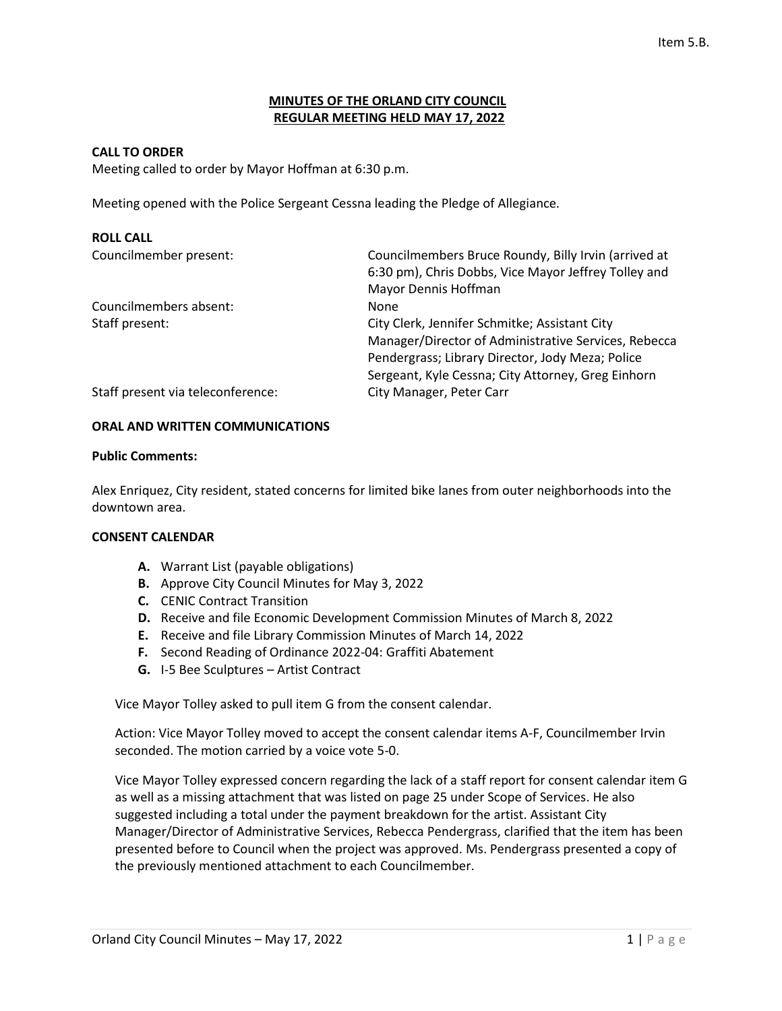### **MINUTES OF THE ORLAND CITY COUNCIL REGULAR MEETING HELD MAY 17, 2022**

### **CALL TO ORDER**

Meeting called to order by Mayor Hoffman at 6:30 p.m.

Meeting opened with the Police Sergeant Cessna leading the Pledge of Allegiance.

| <b>ROLL CALL</b>                  |                                                      |
|-----------------------------------|------------------------------------------------------|
| Councilmember present:            | Councilmembers Bruce Roundy, Billy Irvin (arrived at |
|                                   | 6:30 pm), Chris Dobbs, Vice Mayor Jeffrey Tolley and |
|                                   | Mayor Dennis Hoffman                                 |
| Councilmembers absent:            | None                                                 |
| Staff present:                    | City Clerk, Jennifer Schmitke; Assistant City        |
|                                   | Manager/Director of Administrative Services, Rebecca |
|                                   | Pendergrass; Library Director, Jody Meza; Police     |
|                                   | Sergeant, Kyle Cessna; City Attorney, Greg Einhorn   |
| Staff present via teleconference: | City Manager, Peter Carr                             |

### **ORAL AND WRITTEN COMMUNICATIONS**

#### **Public Comments:**

Alex Enriquez, City resident, stated concerns for limited bike lanes from outer neighborhoods into the downtown area.

### **CONSENT CALENDAR**

- **A.** Warrant List (payable obligations)
- **B.** Approve City Council Minutes for May 3, 2022
- **C.** CENIC Contract Transition
- **D.** Receive and file Economic Development Commission Minutes of March 8, 2022
- **E.** Receive and file Library Commission Minutes of March 14, 2022
- **F.** Second Reading of Ordinance 2022-04: Graffiti Abatement
- **G.** I-5 Bee Sculptures Artist Contract

Vice Mayor Tolley asked to pull item G from the consent calendar.

Action: Vice Mayor Tolley moved to accept the consent calendar items A-F, Councilmember Irvin seconded. The motion carried by a voice vote 5-0.

Vice Mayor Tolley expressed concern regarding the lack of a staff report for consent calendar item G as well as a missing attachment that was listed on page 25 under Scope of Services. He also suggested including a total under the payment breakdown for the artist. Assistant City Manager/Director of Administrative Services, Rebecca Pendergrass, clarified that the item has been presented before to Council when the project was approved. Ms. Pendergrass presented a copy of the previously mentioned attachment to each Councilmember.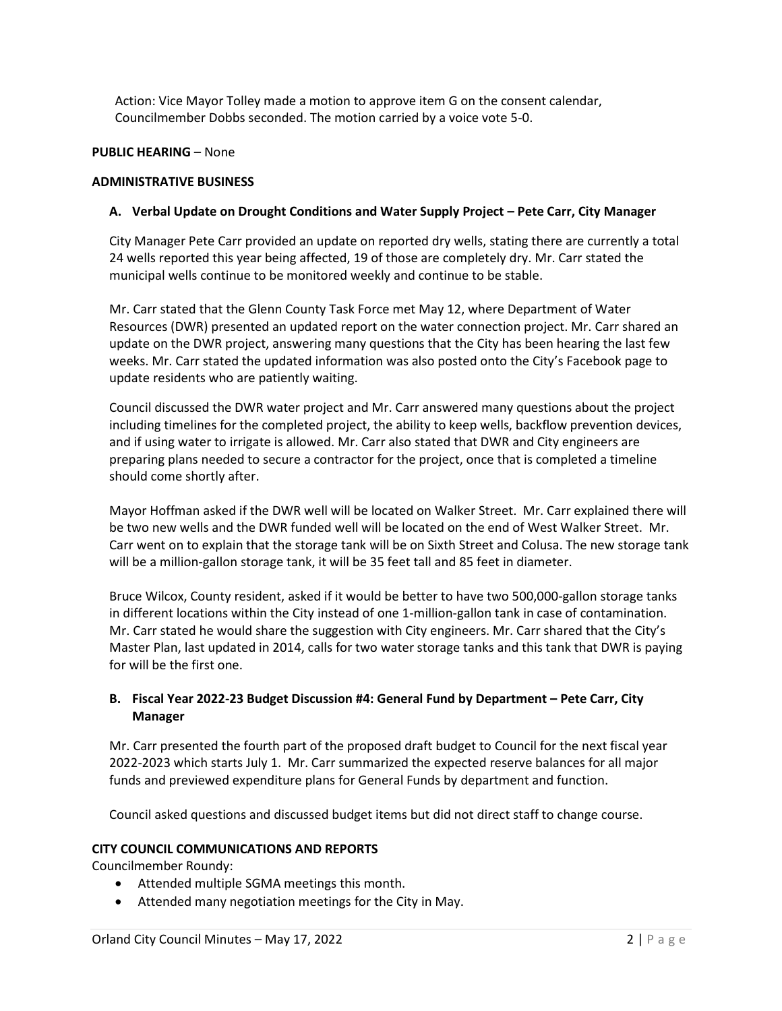Action: Vice Mayor Tolley made a motion to approve item G on the consent calendar, Councilmember Dobbs seconded. The motion carried by a voice vote 5-0.

# **PUBLIC HEARING** – None

### **ADMINISTRATIVE BUSINESS**

# **A. Verbal Update on Drought Conditions and Water Supply Project – Pete Carr, City Manager**

City Manager Pete Carr provided an update on reported dry wells, stating there are currently a total 24 wells reported this year being affected, 19 of those are completely dry. Mr. Carr stated the municipal wells continue to be monitored weekly and continue to be stable.

Mr. Carr stated that the Glenn County Task Force met May 12, where Department of Water Resources (DWR) presented an updated report on the water connection project. Mr. Carr shared an update on the DWR project, answering many questions that the City has been hearing the last few weeks. Mr. Carr stated the updated information was also posted onto the City's Facebook page to update residents who are patiently waiting.

Council discussed the DWR water project and Mr. Carr answered many questions about the project including timelines for the completed project, the ability to keep wells, backflow prevention devices, and if using water to irrigate is allowed. Mr. Carr also stated that DWR and City engineers are preparing plans needed to secure a contractor for the project, once that is completed a timeline should come shortly after.

Mayor Hoffman asked if the DWR well will be located on Walker Street. Mr. Carr explained there will be two new wells and the DWR funded well will be located on the end of West Walker Street. Mr. Carr went on to explain that the storage tank will be on Sixth Street and Colusa. The new storage tank will be a million-gallon storage tank, it will be 35 feet tall and 85 feet in diameter.

Bruce Wilcox, County resident, asked if it would be better to have two 500,000-gallon storage tanks in different locations within the City instead of one 1-million-gallon tank in case of contamination. Mr. Carr stated he would share the suggestion with City engineers. Mr. Carr shared that the City's Master Plan, last updated in 2014, calls for two water storage tanks and this tank that DWR is paying for will be the first one.

# **B. Fiscal Year 2022-23 Budget Discussion #4: General Fund by Department – Pete Carr, City Manager**

Mr. Carr presented the fourth part of the proposed draft budget to Council for the next fiscal year 2022-2023 which starts July 1. Mr. Carr summarized the expected reserve balances for all major funds and previewed expenditure plans for General Funds by department and function.

Council asked questions and discussed budget items but did not direct staff to change course.

# **CITY COUNCIL COMMUNICATIONS AND REPORTS**

Councilmember Roundy:

- Attended multiple SGMA meetings this month.
- Attended many negotiation meetings for the City in May.